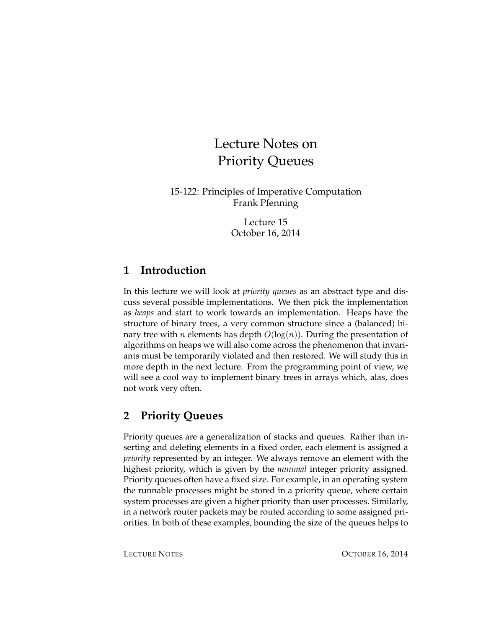# Lecture Notes on Priority Queues

15-122: Principles of Imperative Computation Frank Pfenning

> Lecture 15 October 16, 2014

## **1 Introduction**

In this lecture we will look at *priority queues* as an abstract type and discuss several possible implementations. We then pick the implementation as *heaps* and start to work towards an implementation. Heaps have the structure of binary trees, a very common structure since a (balanced) binary tree with *n* elements has depth  $O(log(n))$ . During the presentation of algorithms on heaps we will also come across the phenomenon that invariants must be temporarily violated and then restored. We will study this in more depth in the next lecture. From the programming point of view, we will see a cool way to implement binary trees in arrays which, alas, does not work very often.

## **2 Priority Queues**

Priority queues are a generalization of stacks and queues. Rather than inserting and deleting elements in a fixed order, each element is assigned a *priority* represented by an integer. We always remove an element with the highest priority, which is given by the *minimal* integer priority assigned. Priority queues often have a fixed size. For example, in an operating system the runnable processes might be stored in a priority queue, where certain system processes are given a higher priority than user processes. Similarly, in a network router packets may be routed according to some assigned priorities. In both of these examples, bounding the size of the queues helps to

LECTURE NOTES **OCTOBER 16, 2014**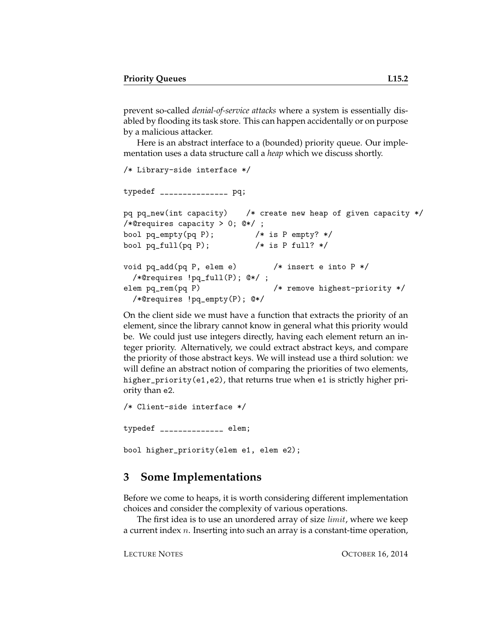prevent so-called *denial-of-service attacks* where a system is essentially disabled by flooding its task store. This can happen accidentally or on purpose by a malicious attacker.

Here is an abstract interface to a (bounded) priority queue. Our implementation uses a data structure call a *heap* which we discuss shortly.

```
/* Library-side interface */
typedef _______________ pq;
pq pq_new(int capacity) /* create new heap of given capacity */
/*@requires capacity > 0; @*/ ;
bool pq\_empty(pq P); /* is P empty? */bool pq_full(pq P); /* is P full? */void pq_add(pq P, elem e) /* insert e into P *//*@requires !pq_full(P); @*/ ;
elem pq_rem(pq P) /* remove highest-priority */
 /*@requires !pq_empty(P); @*/
```
On the client side we must have a function that extracts the priority of an element, since the library cannot know in general what this priority would be. We could just use integers directly, having each element return an integer priority. Alternatively, we could extract abstract keys, and compare the priority of those abstract keys. We will instead use a third solution: we will define an abstract notion of comparing the priorities of two elements, higher\_priority(e1,e2), that returns true when e1 is strictly higher priority than e2.

/\* Client-side interface \*/ typedef \_\_\_\_\_\_\_\_\_\_\_\_\_\_ elem; bool higher\_priority(elem e1, elem e2);

### **3 Some Implementations**

Before we come to heaps, it is worth considering different implementation choices and consider the complexity of various operations.

The first idea is to use an unordered array of size *limit*, where we keep a current index n. Inserting into such an array is a constant-time operation,

LECTURE NOTES **OCTOBER 16, 2014**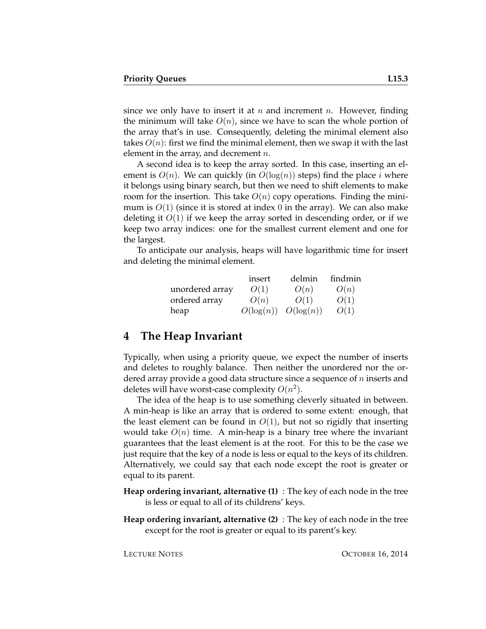since we only have to insert it at n and increment n. However, finding the minimum will take  $O(n)$ , since we have to scan the whole portion of the array that's in use. Consequently, deleting the minimal element also takes  $O(n)$ : first we find the minimal element, then we swap it with the last element in the array, and decrement  $n$ .

A second idea is to keep the array sorted. In this case, inserting an element is  $O(n)$ . We can quickly (in  $O(\log(n))$  steps) find the place i where it belongs using binary search, but then we need to shift elements to make room for the insertion. This take  $O(n)$  copy operations. Finding the minimum is  $O(1)$  (since it is stored at index 0 in the array). We can also make deleting it  $O(1)$  if we keep the array sorted in descending order, or if we keep two array indices: one for the smallest current element and one for the largest.

To anticipate our analysis, heaps will have logarithmic time for insert and deleting the minimal element.

|                 | insert       | delmin       | findmin |
|-----------------|--------------|--------------|---------|
| unordered array | O(1)         | O(n)         | O(n)    |
| ordered array   | O(n)         | O(1)         | O(1)    |
| heap            | $O(\log(n))$ | $O(\log(n))$ | O(1)    |

#### **4 The Heap Invariant**

Typically, when using a priority queue, we expect the number of inserts and deletes to roughly balance. Then neither the unordered nor the ordered array provide a good data structure since a sequence of *n* inserts and deletes will have worst-case complexity  $O(n^2)$ .

The idea of the heap is to use something cleverly situated in between. A min-heap is like an array that is ordered to some extent: enough, that the least element can be found in  $O(1)$ , but not so rigidly that inserting would take  $O(n)$  time. A min-heap is a binary tree where the invariant guarantees that the least element is at the root. For this to be the case we just require that the key of a node is less or equal to the keys of its children. Alternatively, we could say that each node except the root is greater or equal to its parent.

- **Heap ordering invariant, alternative (1)** : The key of each node in the tree is less or equal to all of its childrens' keys.
- **Heap ordering invariant, alternative (2)** : The key of each node in the tree except for the root is greater or equal to its parent's key.

LECTURE NOTES **OCTOBER 16, 2014**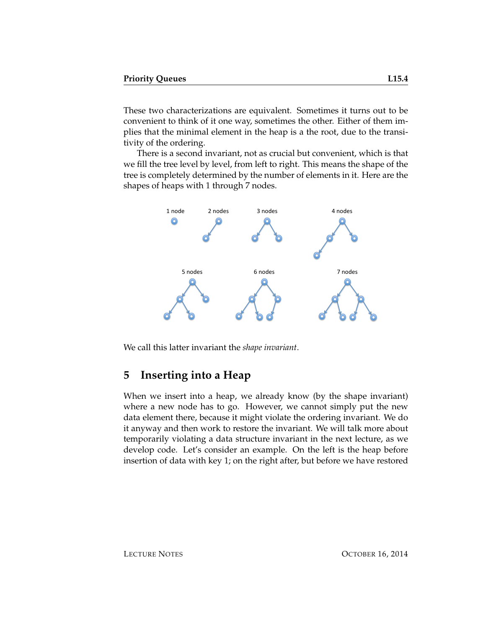These two characterizations are equivalent. Sometimes it turns out to be convenient to think of it one way, sometimes the other. Either of them implies that the minimal element in the heap is a the root, due to the transitivity of the ordering.

There is a second invariant, not as crucial but convenient, which is that we fill the tree level by level, from left to right. This means the shape of the tree is completely determined by the number of elements in it. Here are the shapes of heaps with 1 through 7 nodes.



We call this latter invariant the *shape invariant*.

### **5 Inserting into a Heap**

When we insert into a heap, we already know (by the shape invariant) where a new node has to go. However, we cannot simply put the new data element there, because it might violate the ordering invariant. We do it anyway and then work to restore the invariant. We will talk more about temporarily violating a data structure invariant in the next lecture, as we develop code. Let's consider an example. On the left is the heap before insertion of data with key 1; on the right after, but before we have restored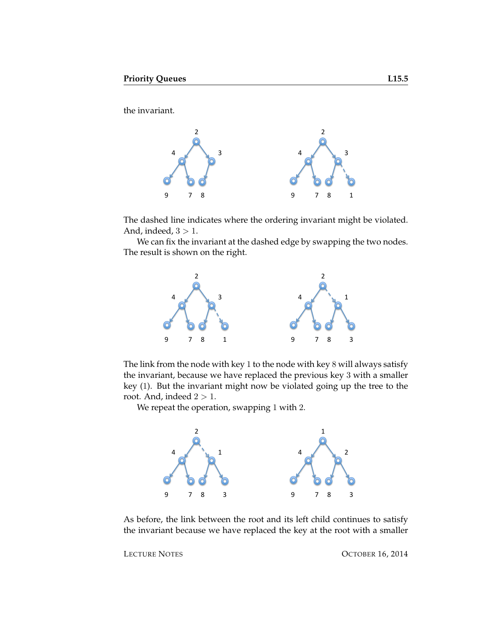the invariant.



The dashed line indicates where the ordering invariant might be violated. And, indeed,  $3 > 1$ .

We can fix the invariant at the dashed edge by swapping the two nodes. The result is shown on the right.



The link from the node with key 1 to the node with key 8 will always satisfy the invariant, because we have replaced the previous key 3 with a smaller key (1). But the invariant might now be violated going up the tree to the root. And, indeed  $2 > 1$ .

We repeat the operation, swapping 1 with 2.



As before, the link between the root and its left child continues to satisfy the invariant because we have replaced the key at the root with a smaller

LECTURE NOTES CONTROLLER OCTOBER 16, 2014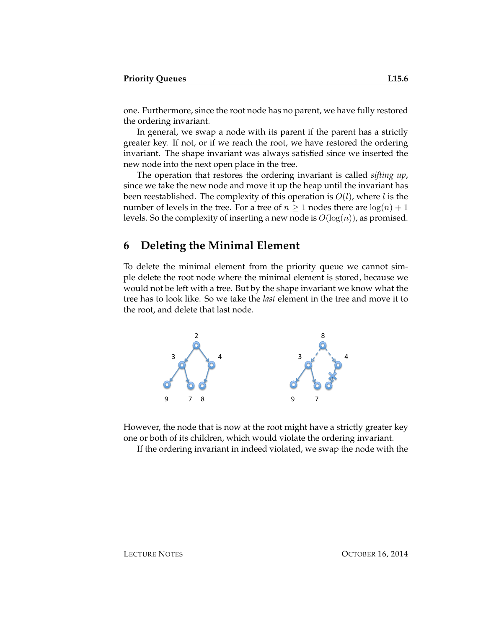one. Furthermore, since the root node has no parent, we have fully restored the ordering invariant.

In general, we swap a node with its parent if the parent has a strictly greater key. If not, or if we reach the root, we have restored the ordering invariant. The shape invariant was always satisfied since we inserted the new node into the next open place in the tree.

The operation that restores the ordering invariant is called *sifting up*, since we take the new node and move it up the heap until the invariant has been reestablished. The complexity of this operation is  $O(l)$ , where l is the number of levels in the tree. For a tree of  $n \geq 1$  nodes there are  $log(n) + 1$ levels. So the complexity of inserting a new node is  $O(log(n))$ , as promised.

#### **6 Deleting the Minimal Element**

To delete the minimal element from the priority queue we cannot simple delete the root node where the minimal element is stored, because we would not be left with a tree. But by the shape invariant we know what the tree has to look like. So we take the *last* element in the tree and move it to the root, and delete that last node.



However, the node that is now at the root might have a strictly greater key one or both of its children, which would violate the ordering invariant.

If the ordering invariant in indeed violated, we swap the node with the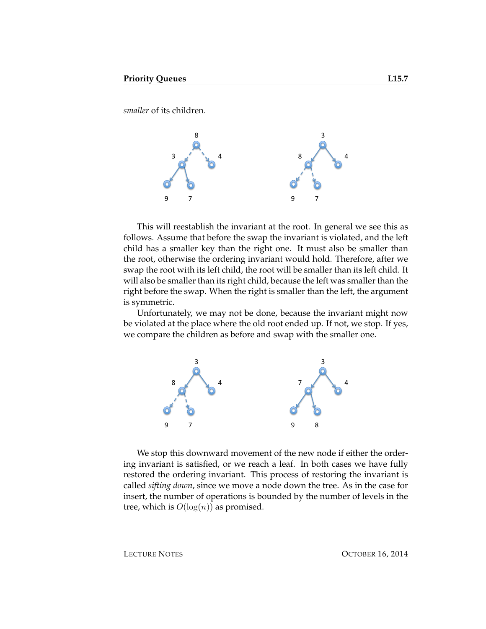*smaller* of its children.



This will reestablish the invariant at the root. In general we see this as follows. Assume that before the swap the invariant is violated, and the left child has a smaller key than the right one. It must also be smaller than the root, otherwise the ordering invariant would hold. Therefore, after we swap the root with its left child, the root will be smaller than its left child. It will also be smaller than its right child, because the left was smaller than the right before the swap. When the right is smaller than the left, the argument is symmetric.

Unfortunately, we may not be done, because the invariant might now be violated at the place where the old root ended up. If not, we stop. If yes, we compare the children as before and swap with the smaller one.



We stop this downward movement of the new node if either the ordering invariant is satisfied, or we reach a leaf. In both cases we have fully restored the ordering invariant. This process of restoring the invariant is called *sifting down*, since we move a node down the tree. As in the case for insert, the number of operations is bounded by the number of levels in the tree, which is  $O(log(n))$  as promised.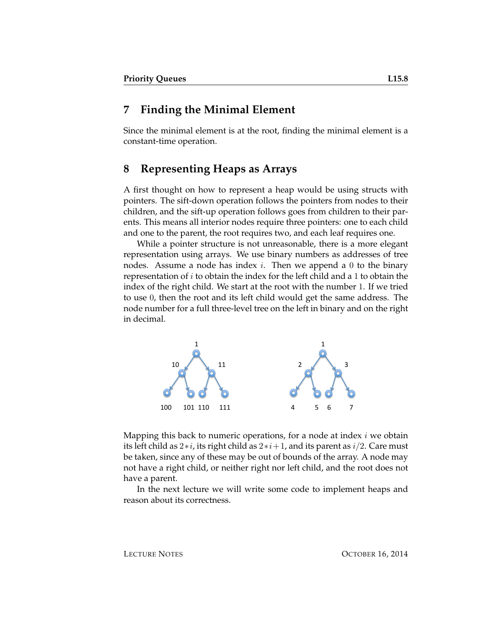#### **7 Finding the Minimal Element**

Since the minimal element is at the root, finding the minimal element is a constant-time operation.

#### **8 Representing Heaps as Arrays**

A first thought on how to represent a heap would be using structs with pointers. The sift-down operation follows the pointers from nodes to their children, and the sift-up operation follows goes from children to their parents. This means all interior nodes require three pointers: one to each child and one to the parent, the root requires two, and each leaf requires one.

While a pointer structure is not unreasonable, there is a more elegant representation using arrays. We use binary numbers as addresses of tree nodes. Assume a node has index *i*. Then we append a 0 to the binary representation of  $i$  to obtain the index for the left child and a 1 to obtain the index of the right child. We start at the root with the number 1. If we tried to use 0, then the root and its left child would get the same address. The node number for a full three-level tree on the left in binary and on the right in decimal.



Mapping this back to numeric operations, for a node at index  $i$  we obtain its left child as  $2 \times i$ , its right child as  $2 \times i+1$ , and its parent as  $i/2$ . Care must be taken, since any of these may be out of bounds of the array. A node may not have a right child, or neither right nor left child, and the root does not have a parent.

In the next lecture we will write some code to implement heaps and reason about its correctness.